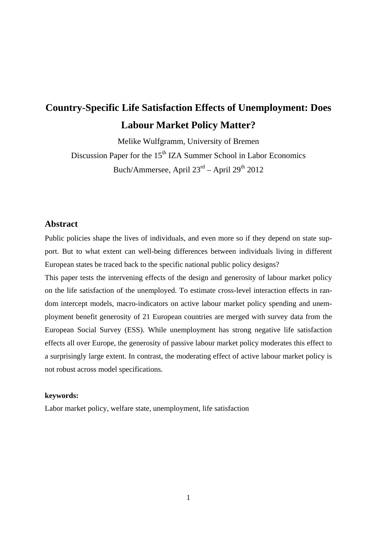# **Country-Specific Life Satisfaction Effects of Unemployment: Does Labour Market Policy Matter?**

Melike Wulfgramm, University of Bremen Discussion Paper for the 15<sup>th</sup> IZA Summer School in Labor Economics Buch/Ammersee, April  $23<sup>rd</sup>$  – April  $29<sup>th</sup>$  2012

## **Abstract**

Public policies shape the lives of individuals, and even more so if they depend on state support. But to what extent can well-being differences between individuals living in different European states be traced back to the specific national public policy designs?

This paper tests the intervening effects of the design and generosity of labour market policy on the life satisfaction of the unemployed. To estimate cross-level interaction effects in random intercept models, macro-indicators on active labour market policy spending and unemployment benefit generosity of 21 European countries are merged with survey data from the European Social Survey (ESS). While unemployment has strong negative life satisfaction effects all over Europe, the generosity of passive labour market policy moderates this effect to a surprisingly large extent. In contrast, the moderating effect of active labour market policy is not robust across model specifications.

#### **keywords:**

Labor market policy, welfare state, unemployment, life satisfaction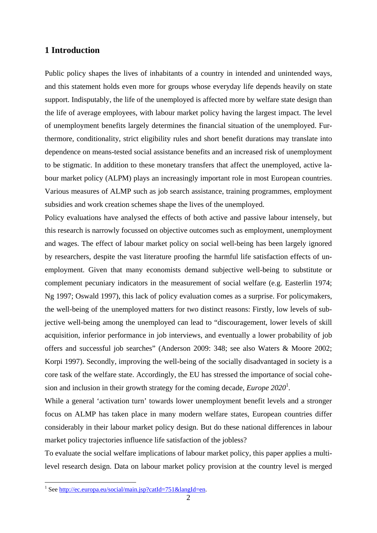## **1 Introduction**

Public policy shapes the lives of inhabitants of a country in intended and unintended ways, and this statement holds even more for groups whose everyday life depends heavily on state support. Indisputably, the life of the unemployed is affected more by welfare state design than the life of average employees, with labour market policy having the largest impact. The level of unemployment benefits largely determines the financial situation of the unemployed. Furthermore, conditionality, strict eligibility rules and short benefit durations may translate into dependence on means-tested social assistance benefits and an increased risk of unemployment to be stigmatic. In addition to these monetary transfers that affect the unemployed, active labour market policy (ALPM) plays an increasingly important role in most European countries. Various measures of ALMP such as job search assistance, training programmes, employment subsidies and work creation schemes shape the lives of the unemployed.

Policy evaluations have analysed the effects of both active and passive labour intensely, but this research is narrowly focussed on objective outcomes such as employment, unemployment and wages. The effect of labour market policy on social well-being has been largely ignored by researchers, despite the vast literature proofing the harmful life satisfaction effects of unemployment. Given that many economists demand subjective well-being to substitute or complement pecuniary indicators in the measurement of social welfare (e.g. Easterlin 1974; Ng 1997; Oswald 1997), this lack of policy evaluation comes as a surprise. For policymakers, the well-being of the unemployed matters for two distinct reasons: Firstly, low levels of subjective well-being among the unemployed can lead to "discouragement, lower levels of skill acquisition, inferior performance in job interviews, and eventually a lower probability of job offers and successful job searches" (Anderson 2009: 348; see also Waters & Moore 2002; Korpi 1997). Secondly, improving the well-being of the socially disadvantaged in society is a core task of the welfare state. Accordingly, the EU has stressed the importance of social cohesion and inclusion in their growth strategy for the coming decade, *Europe 2020*<sup>1</sup> *.*

While a general 'activation turn' towards lower unemployment benefit levels and a stronger focus on ALMP has taken place in many modern welfare states, European countries differ considerably in their labour market policy design. But do these national differences in labour market policy trajectories influence life satisfaction of the jobless?

To evaluate the social welfare implications of labour market policy, this paper applies a multilevel research design. Data on labour market policy provision at the country level is merged

1

<sup>&</sup>lt;sup>1</sup> See http://ec.europa.eu/social/main.jsp?catId=751&langId=en.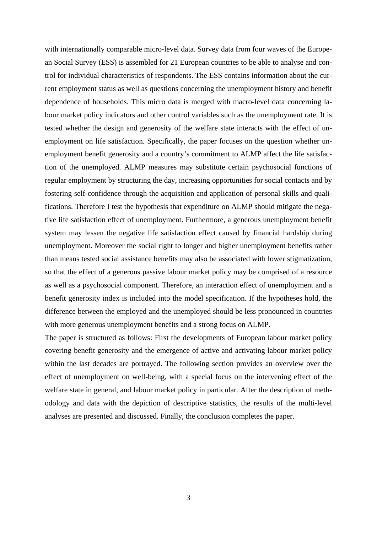with internationally comparable micro-level data. Survey data from four waves of the European Social Survey (ESS) is assembled for 21 European countries to be able to analyse and control for individual characteristics of respondents. The ESS contains information about the current employment status as well as questions concerning the unemployment history and benefit dependence of households. This micro data is merged with macro-level data concerning labour market policy indicators and other control variables such as the unemployment rate. It is tested whether the design and generosity of the welfare state interacts with the effect of unemployment on life satisfaction. Specifically, the paper focuses on the question whether unemployment benefit generosity and a country's commitment to ALMP affect the life satisfaction of the unemployed. ALMP measures may substitute certain psychosocial functions of regular employment by structuring the day, increasing opportunities for social contacts and by fostering self-confidence through the acquisition and application of personal skills and qualifications. Therefore I test the hypothesis that expenditure on ALMP should mitigate the negative life satisfaction effect of unemployment. Furthermore, a generous unemployment benefit system may lessen the negative life satisfaction effect caused by financial hardship during unemployment. Moreover the social right to longer and higher unemployment benefits rather than means tested social assistance benefits may also be associated with lower stigmatization, so that the effect of a generous passive labour market policy may be comprised of a resource as well as a psychosocial component. Therefore, an interaction effect of unemployment and a benefit generosity index is included into the model specification. If the hypotheses hold, the difference between the employed and the unemployed should be less pronounced in countries with more generous unemployment benefits and a strong focus on ALMP.

The paper is structured as follows: First the developments of European labour market policy covering benefit generosity and the emergence of active and activating labour market policy within the last decades are portrayed. The following section provides an overview over the effect of unemployment on well-being, with a special focus on the intervening effect of the welfare state in general, and labour market policy in particular. After the description of methodology and data with the depiction of descriptive statistics, the results of the multi-level analyses are presented and discussed. Finally, the conclusion completes the paper.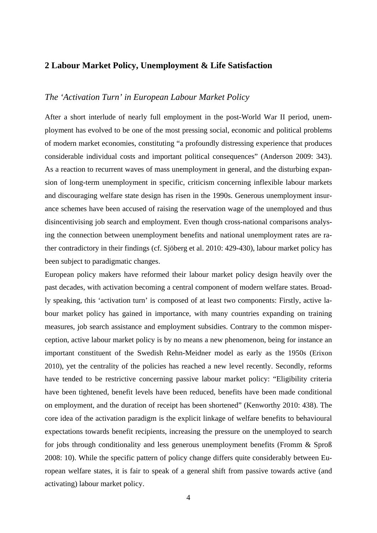# **2 Labour Market Policy, Unemployment & Life Satisfaction**

#### *The 'Activation Turn' in European Labour Market Policy*

After a short interlude of nearly full employment in the post-World War II period, unemployment has evolved to be one of the most pressing social, economic and political problems of modern market economies, constituting "a profoundly distressing experience that produces considerable individual costs and important political consequences" (Anderson 2009: 343). As a reaction to recurrent waves of mass unemployment in general, and the disturbing expansion of long-term unemployment in specific, criticism concerning inflexible labour markets and discouraging welfare state design has risen in the 1990s. Generous unemployment insurance schemes have been accused of raising the reservation wage of the unemployed and thus disincentivising job search and employment. Even though cross-national comparisons analysing the connection between unemployment benefits and national unemployment rates are rather contradictory in their findings (cf. Sjöberg et al. 2010: 429-430), labour market policy has been subject to paradigmatic changes.

European policy makers have reformed their labour market policy design heavily over the past decades, with activation becoming a central component of modern welfare states. Broadly speaking, this 'activation turn' is composed of at least two components: Firstly, active labour market policy has gained in importance, with many countries expanding on training measures, job search assistance and employment subsidies. Contrary to the common misperception, active labour market policy is by no means a new phenomenon, being for instance an important constituent of the Swedish Rehn-Meidner model as early as the 1950s (Erixon 2010), yet the centrality of the policies has reached a new level recently. Secondly, reforms have tended to be restrictive concerning passive labour market policy: "Eligibility criteria have been tightened, benefit levels have been reduced, benefits have been made conditional on employment, and the duration of receipt has been shortened" (Kenworthy 2010: 438). The core idea of the activation paradigm is the explicit linkage of welfare benefits to behavioural expectations towards benefit recipients, increasing the pressure on the unemployed to search for jobs through conditionality and less generous unemployment benefits (Fromm & Sproß 2008: 10). While the specific pattern of policy change differs quite considerably between European welfare states, it is fair to speak of a general shift from passive towards active (and activating) labour market policy.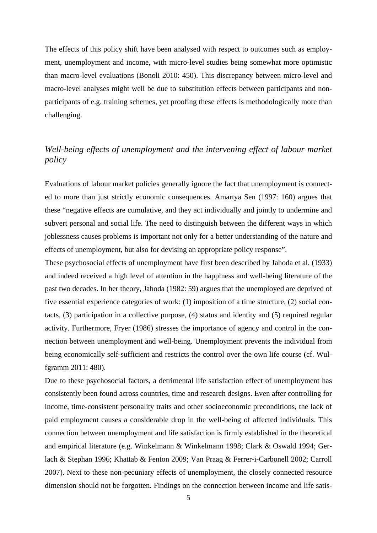The effects of this policy shift have been analysed with respect to outcomes such as employment, unemployment and income, with micro-level studies being somewhat more optimistic than macro-level evaluations (Bonoli 2010: 450). This discrepancy between micro-level and macro-level analyses might well be due to substitution effects between participants and nonparticipants of e.g. training schemes, yet proofing these effects is methodologically more than challenging.

# *Well-being effects of unemployment and the intervening effect of labour market policy*

Evaluations of labour market policies generally ignore the fact that unemployment is connected to more than just strictly economic consequences. Amartya Sen (1997: 160) argues that these "negative effects are cumulative, and they act individually and jointly to undermine and subvert personal and social life. The need to distinguish between the different ways in which joblessness causes problems is important not only for a better understanding of the nature and effects of unemployment, but also for devising an appropriate policy response".

These psychosocial effects of unemployment have first been described by Jahoda et al. (1933) and indeed received a high level of attention in the happiness and well-being literature of the past two decades. In her theory, Jahoda (1982: 59) argues that the unemployed are deprived of five essential experience categories of work: (1) imposition of a time structure, (2) social contacts, (3) participation in a collective purpose, (4) status and identity and (5) required regular activity. Furthermore, Fryer (1986) stresses the importance of agency and control in the connection between unemployment and well-being. Unemployment prevents the individual from being economically self-sufficient and restricts the control over the own life course (cf. Wulfgramm 2011: 480).

Due to these psychosocial factors, a detrimental life satisfaction effect of unemployment has consistently been found across countries, time and research designs. Even after controlling for income, time-consistent personality traits and other socioeconomic preconditions, the lack of paid employment causes a considerable drop in the well-being of affected individuals. This connection between unemployment and life satisfaction is firmly established in the theoretical and empirical literature (e.g. Winkelmann & Winkelmann 1998; Clark & Oswald 1994; Gerlach & Stephan 1996; Khattab & Fenton 2009; Van Praag & Ferrer-i-Carbonell 2002; Carroll 2007). Next to these non-pecuniary effects of unemployment, the closely connected resource dimension should not be forgotten. Findings on the connection between income and life satis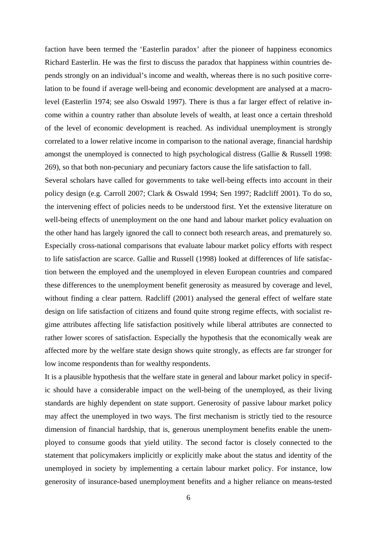faction have been termed the 'Easterlin paradox' after the pioneer of happiness economics Richard Easterlin. He was the first to discuss the paradox that happiness within countries depends strongly on an individual's income and wealth, whereas there is no such positive correlation to be found if average well-being and economic development are analysed at a macrolevel (Easterlin 1974; see also Oswald 1997). There is thus a far larger effect of relative income within a country rather than absolute levels of wealth, at least once a certain threshold of the level of economic development is reached. As individual unemployment is strongly correlated to a lower relative income in comparison to the national average, financial hardship amongst the unemployed is connected to high psychological distress (Gallie & Russell 1998: 269), so that both non-pecuniary and pecuniary factors cause the life satisfaction to fall.

Several scholars have called for governments to take well-being effects into account in their policy design (e.g. Carroll 2007; Clark & Oswald 1994; Sen 1997; Radcliff 2001). To do so, the intervening effect of policies needs to be understood first. Yet the extensive literature on well-being effects of unemployment on the one hand and labour market policy evaluation on the other hand has largely ignored the call to connect both research areas, and prematurely so. Especially cross-national comparisons that evaluate labour market policy efforts with respect to life satisfaction are scarce. Gallie and Russell (1998) looked at differences of life satisfaction between the employed and the unemployed in eleven European countries and compared these differences to the unemployment benefit generosity as measured by coverage and level, without finding a clear pattern. Radcliff (2001) analysed the general effect of welfare state design on life satisfaction of citizens and found quite strong regime effects, with socialist regime attributes affecting life satisfaction positively while liberal attributes are connected to rather lower scores of satisfaction. Especially the hypothesis that the economically weak are affected more by the welfare state design shows quite strongly, as effects are far stronger for low income respondents than for wealthy respondents.

It is a plausible hypothesis that the welfare state in general and labour market policy in specific should have a considerable impact on the well-being of the unemployed, as their living standards are highly dependent on state support. Generosity of passive labour market policy may affect the unemployed in two ways. The first mechanism is strictly tied to the resource dimension of financial hardship, that is, generous unemployment benefits enable the unemployed to consume goods that yield utility. The second factor is closely connected to the statement that policymakers implicitly or explicitly make about the status and identity of the unemployed in society by implementing a certain labour market policy. For instance, low generosity of insurance-based unemployment benefits and a higher reliance on means-tested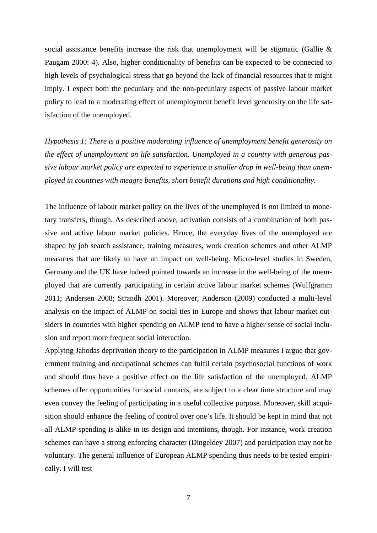social assistance benefits increase the risk that unemployment will be stigmatic (Gallie & Paugam 2000: 4). Also, higher conditionality of benefits can be expected to be connected to high levels of psychological stress that go beyond the lack of financial resources that it might imply. I expect both the pecuniary and the non-pecuniary aspects of passive labour market policy to lead to a moderating effect of unemployment benefit level generosity on the life satisfaction of the unemployed.

*Hypothesis 1: There is a positive moderating influence of unemployment benefit generosity on the effect of unemployment on life satisfaction. Unemployed in a country with generous passive labour market policy are expected to experience a smaller drop in well-being than unemployed in countries with meagre benefits, short benefit durations and high conditionality.* 

The influence of labour market policy on the lives of the unemployed is not limited to monetary transfers, though. As described above, activation consists of a combination of both passive and active labour market policies. Hence, the everyday lives of the unemployed are shaped by job search assistance, training measures, work creation schemes and other ALMP measures that are likely to have an impact on well-being. Micro-level studies in Sweden, Germany and the UK have indeed pointed towards an increase in the well-being of the unemployed that are currently participating in certain active labour market schemes (Wulfgramm 2011; Andersen 2008; Strandh 2001). Moreover, Anderson (2009) conducted a multi-level analysis on the impact of ALMP on social ties in Europe and shows that labour market outsiders in countries with higher spending on ALMP tend to have a higher sense of social inclusion and report more frequent social interaction.

Applying Jahodas deprivation theory to the participation in ALMP measures I argue that government training and occupational schemes can fulfil certain psychosocial functions of work and should thus have a positive effect on the life satisfaction of the unemployed. ALMP schemes offer opportunities for social contacts, are subject to a clear time structure and may even convey the feeling of participating in a useful collective purpose. Moreover, skill acquisition should enhance the feeling of control over one's life. It should be kept in mind that not all ALMP spending is alike in its design and intentions, though. For instance, work creation schemes can have a strong enforcing character (Dingeldey 2007) and participation may not be voluntary. The general influence of European ALMP spending thus needs to be tested empirically. I will test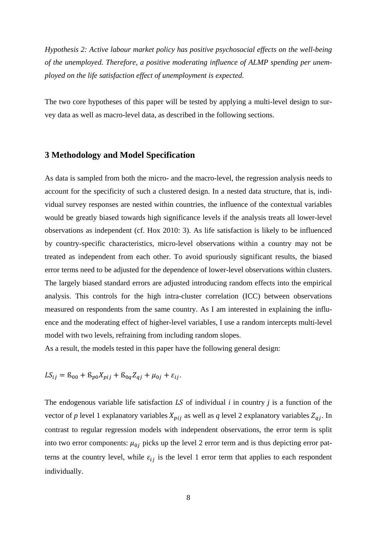*Hypothesis 2: Active labour market policy has positive psychosocial effects on the well-being of the unemployed. Therefore, a positive moderating influence of ALMP spending per unemployed on the life satisfaction effect of unemployment is expected.* 

The two core hypotheses of this paper will be tested by applying a multi-level design to survey data as well as macro-level data, as described in the following sections.

## **3 Methodology and Model Specification**

As data is sampled from both the micro- and the macro-level, the regression analysis needs to account for the specificity of such a clustered design. In a nested data structure, that is, individual survey responses are nested within countries, the influence of the contextual variables would be greatly biased towards high significance levels if the analysis treats all lower-level observations as independent (cf. Hox 2010: 3). As life satisfaction is likely to be influenced by country-specific characteristics, micro-level observations within a country may not be treated as independent from each other. To avoid spuriously significant results, the biased error terms need to be adjusted for the dependence of lower-level observations within clusters. The largely biased standard errors are adjusted introducing random effects into the empirical analysis. This controls for the high intra-cluster correlation (ICC) between observations measured on respondents from the same country. As I am interested in explaining the influence and the moderating effect of higher-level variables, I use a random intercepts multi-level model with two levels, refraining from including random slopes.

As a result, the models tested in this paper have the following general design:

$$
LS_{ij} = S_{00} + S_{p0}X_{pij} + S_{0q}Z_{qj} + \mu_{0j} + \varepsilon_{ij}.
$$

The endogenous variable life satisfaction  $LS$  of individual  $i$  in country  $j$  is a function of the vector of *p* level 1 explanatory variables  $X_{pi}$  as well as *q* level 2 explanatory variables  $Z_{qi}$ . In contrast to regular regression models with independent observations, the error term is split into two error components:  $\mu_{0i}$  picks up the level 2 error term and is thus depicting error patterns at the country level, while  $\varepsilon_{ij}$  is the level 1 error term that applies to each respondent individually.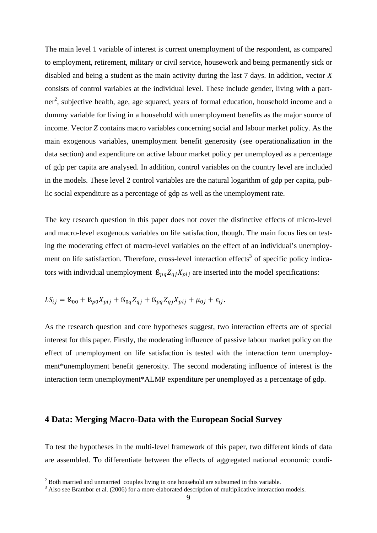The main level 1 variable of interest is current unemployment of the respondent, as compared to employment, retirement, military or civil service, housework and being permanently sick or disabled and being a student as the main activity during the last 7 days. In addition, vector *X* consists of control variables at the individual level. These include gender, living with a partner<sup>2</sup>, subjective health, age, age squared, years of formal education, household income and a dummy variable for living in a household with unemployment benefits as the major source of income. Vector *Z* contains macro variables concerning social and labour market policy. As the main exogenous variables, unemployment benefit generosity (see operationalization in the data section) and expenditure on active labour market policy per unemployed as a percentage of gdp per capita are analysed. In addition, control variables on the country level are included in the models. These level 2 control variables are the natural logarithm of gdp per capita, public social expenditure as a percentage of gdp as well as the unemployment rate.

The key research question in this paper does not cover the distinctive effects of micro-level and macro-level exogenous variables on life satisfaction, though. The main focus lies on testing the moderating effect of macro-level variables on the effect of an individual's unemployment on life satisfaction. Therefore, cross-level interaction effects<sup>3</sup> of specific policy indicators with individual unemployment  $\beta_{pq} Z_{qi} X_{pi}$  are inserted into the model specifications:

$$
LS_{ij} = S_{00} + S_{p0}X_{pij} + S_{0q}Z_{qj} + S_{pq}Z_{qj}X_{pij} + \mu_{0j} + \varepsilon_{ij}.
$$

As the research question and core hypotheses suggest, two interaction effects are of special interest for this paper. Firstly, the moderating influence of passive labour market policy on the effect of unemployment on life satisfaction is tested with the interaction term unemployment\*unemployment benefit generosity. The second moderating influence of interest is the interaction term unemployment\*ALMP expenditure per unemployed as a percentage of gdp.

## **4 Data: Merging Macro-Data with the European Social Survey**

To test the hypotheses in the multi-level framework of this paper, two different kinds of data are assembled. To differentiate between the effects of aggregated national economic condi-

<u>.</u>

 $2^{2}$  Both married and unmarried couples living in one household are subsumed in this variable.

<sup>&</sup>lt;sup>3</sup> Also see Brambor et al. (2006) for a more elaborated description of multiplicative interaction models.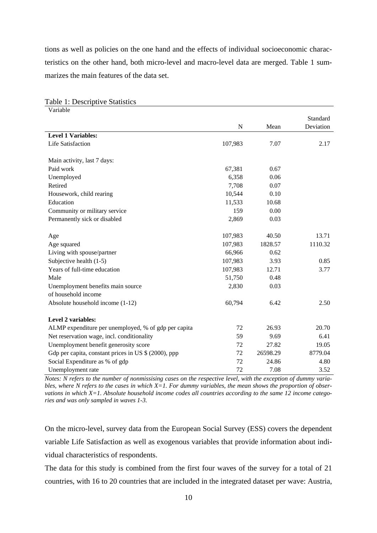tions as well as policies on the one hand and the effects of individual socioeconomic characteristics on the other hand, both micro-level and macro-level data are merged. Table 1 summarizes the main features of the data set.

| Variable                                                 |             |          |           |
|----------------------------------------------------------|-------------|----------|-----------|
|                                                          |             |          | Standard  |
|                                                          | $\mathbf N$ | Mean     | Deviation |
| <b>Level 1 Variables:</b>                                |             |          |           |
| Life Satisfaction                                        | 107,983     | 7.07     | 2.17      |
| Main activity, last 7 days:                              |             |          |           |
| Paid work                                                | 67,381      | 0.67     |           |
| Unemployed                                               | 6,358       | 0.06     |           |
| Retired                                                  | 7,708       | 0.07     |           |
| Housework, child rearing                                 | 10,544      | 0.10     |           |
| Education                                                | 11,533      | 10.68    |           |
| Community or military service                            | 159         | 0.00     |           |
| Permanently sick or disabled                             | 2,869       | 0.03     |           |
| Age                                                      | 107,983     | 40.50    | 13.71     |
| Age squared                                              | 107,983     | 1828.57  | 1110.32   |
| Living with spouse/partner                               | 66,966      | 0.62     |           |
| Subjective health (1-5)                                  | 107,983     | 3.93     | 0.85      |
| Years of full-time education                             | 107,983     | 12.71    | 3.77      |
| Male                                                     | 51,750      | 0.48     |           |
| Unemployment benefits main source<br>of household income | 2,830       | 0.03     |           |
| Absolute household income (1-12)                         | 60,794      | 6.42     | 2.50      |
| <b>Level 2 variables:</b>                                |             |          |           |
| ALMP expenditure per unemployed, % of gdp per capita     | 72          | 26.93    | 20.70     |
| Net reservation wage, incl. conditionality               | 59          | 9.69     | 6.41      |
| Unemployment benefit generosity score                    | 72          | 27.82    | 19.05     |
| Gdp per capita, constant prices in US \$ (2000), ppp     | 72          | 26598.29 | 8779.04   |
| Social Expenditure as % of gdp                           | 72          | 24.86    | 4.80      |
| Unemployment rate                                        | 72          | 7.08     | 3.52      |

Table 1: Descriptive Statistics

*Notes: N refers to the number of nonmissising cases on the respective level, with the exception of dummy variables, where N refers to the cases in which X=1. For dummy variables, the mean shows the proportion of observations in which X=1. Absolute household income codes all countries according to the same 12 income categories and was only sampled in waves 1-3.* 

On the micro-level, survey data from the European Social Survey (ESS) covers the dependent variable Life Satisfaction as well as exogenous variables that provide information about individual characteristics of respondents.

The data for this study is combined from the first four waves of the survey for a total of 21 countries, with 16 to 20 countries that are included in the integrated dataset per wave: Austria,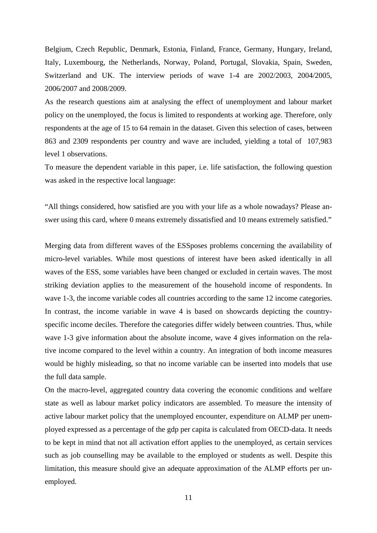Belgium, Czech Republic, Denmark, Estonia, Finland, France, Germany, Hungary, Ireland, Italy, Luxembourg, the Netherlands, Norway, Poland, Portugal, Slovakia, Spain, Sweden, Switzerland and UK. The interview periods of wave 1-4 are 2002/2003, 2004/2005, 2006/2007 and 2008/2009.

As the research questions aim at analysing the effect of unemployment and labour market policy on the unemployed, the focus is limited to respondents at working age. Therefore, only respondents at the age of 15 to 64 remain in the dataset. Given this selection of cases, between 863 and 2309 respondents per country and wave are included, yielding a total of 107,983 level 1 observations.

To measure the dependent variable in this paper, i.e. life satisfaction, the following question was asked in the respective local language:

"All things considered, how satisfied are you with your life as a whole nowadays? Please answer using this card, where 0 means extremely dissatisfied and 10 means extremely satisfied."

Merging data from different waves of the ESSposes problems concerning the availability of micro-level variables. While most questions of interest have been asked identically in all waves of the ESS, some variables have been changed or excluded in certain waves. The most striking deviation applies to the measurement of the household income of respondents. In wave 1-3, the income variable codes all countries according to the same 12 income categories. In contrast, the income variable in wave 4 is based on showcards depicting the countryspecific income deciles. Therefore the categories differ widely between countries. Thus, while wave 1-3 give information about the absolute income, wave 4 gives information on the relative income compared to the level within a country. An integration of both income measures would be highly misleading, so that no income variable can be inserted into models that use the full data sample.

On the macro-level, aggregated country data covering the economic conditions and welfare state as well as labour market policy indicators are assembled. To measure the intensity of active labour market policy that the unemployed encounter, expenditure on ALMP per unemployed expressed as a percentage of the gdp per capita is calculated from OECD-data. It needs to be kept in mind that not all activation effort applies to the unemployed, as certain services such as job counselling may be available to the employed or students as well. Despite this limitation, this measure should give an adequate approximation of the ALMP efforts per unemployed.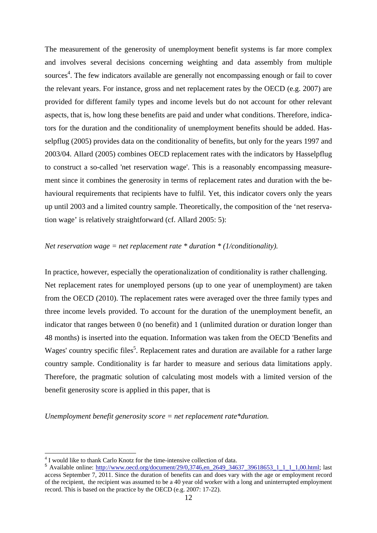The measurement of the generosity of unemployment benefit systems is far more complex and involves several decisions concerning weighting and data assembly from multiple sources<sup>4</sup>. The few indicators available are generally not encompassing enough or fail to cover the relevant years. For instance, gross and net replacement rates by the OECD (e.g. 2007) are provided for different family types and income levels but do not account for other relevant aspects, that is, how long these benefits are paid and under what conditions. Therefore, indicators for the duration and the conditionality of unemployment benefits should be added. Hasselpflug (2005) provides data on the conditionality of benefits, but only for the years 1997 and 2003/04. Allard (2005) combines OECD replacement rates with the indicators by Hasselpflug to construct a so-called 'net reservation wage'. This is a reasonably encompassing measurement since it combines the generosity in terms of replacement rates and duration with the behavioural requirements that recipients have to fulfil. Yet, this indicator covers only the years up until 2003 and a limited country sample. Theoretically, the composition of the 'net reservation wage' is relatively straightforward (cf. Allard 2005: 5):

#### *Net reservation wage = net replacement rate \* duration \* (1/conditionality).*

In practice, however, especially the operationalization of conditionality is rather challenging. Net replacement rates for unemployed persons (up to one year of unemployment) are taken from the OECD (2010). The replacement rates were averaged over the three family types and three income levels provided. To account for the duration of the unemployment benefit, an indicator that ranges between 0 (no benefit) and 1 (unlimited duration or duration longer than 48 months) is inserted into the equation. Information was taken from the OECD 'Benefits and Wages' country specific files<sup>5</sup>. Replacement rates and duration are available for a rather large country sample. Conditionality is far harder to measure and serious data limitations apply. Therefore, the pragmatic solution of calculating most models with a limited version of the benefit generosity score is applied in this paper, that is

*Unemployment benefit generosity score = net replacement rate\*duration.* 

<u>.</u>

<sup>&</sup>lt;sup>4</sup> I would like to thank Carlo Knotz for the time-intensive collection of data.

<sup>5</sup> Available online: http://www.oecd.org/document/29/0,3746,en\_2649\_34637\_39618653\_1\_1\_1\_1,00.html; last access September 7, 2011. Since the duration of benefits can and does vary with the age or employment record of the recipient, the recipient was assumed to be a 40 year old worker with a long and uninterrupted employment record. This is based on the practice by the OECD (e.g. 2007: 17-22).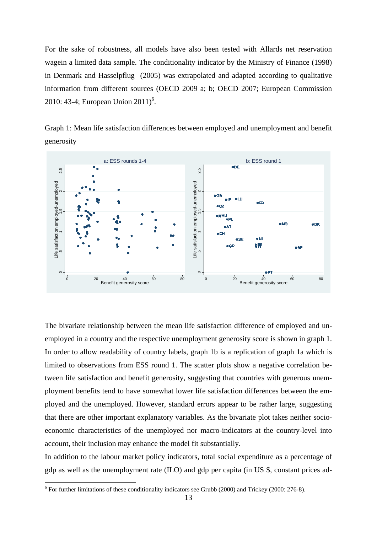For the sake of robustness, all models have also been tested with Allards net reservation wagein a limited data sample. The conditionality indicator by the Ministry of Finance (1998) in Denmark and Hasselpflug (2005) was extrapolated and adapted according to qualitative information from different sources (OECD 2009 a; b; OECD 2007; European Commission 2010: 43-4; European Union 2011)<sup>6</sup>.

Graph 1: Mean life satisfaction differences between employed and unemployment and benefit generosity



The bivariate relationship between the mean life satisfaction difference of employed and unemployed in a country and the respective unemployment generosity score is shown in graph 1. In order to allow readability of country labels, graph 1b is a replication of graph 1a which is limited to observations from ESS round 1. The scatter plots show a negative correlation between life satisfaction and benefit generosity, suggesting that countries with generous unemployment benefits tend to have somewhat lower life satisfaction differences between the employed and the unemployed. However, standard errors appear to be rather large, suggesting that there are other important explanatory variables. As the bivariate plot takes neither socioeconomic characteristics of the unemployed nor macro-indicators at the country-level into account, their inclusion may enhance the model fit substantially.

In addition to the labour market policy indicators, total social expenditure as a percentage of gdp as well as the unemployment rate (ILO) and gdp per capita (in US \$, constant prices ad-

1

 $6$  For further limitations of these conditionality indicators see Grubb (2000) and Trickey (2000: 276-8).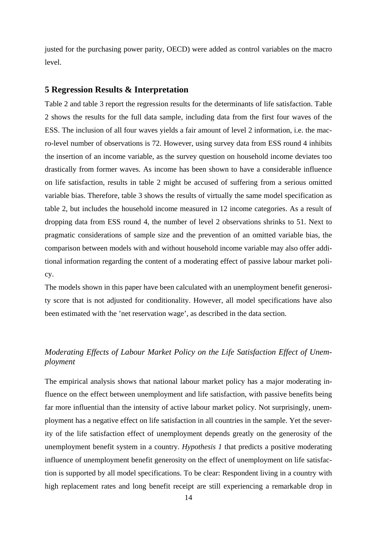justed for the purchasing power parity, OECD) were added as control variables on the macro level.

#### **5 Regression Results & Interpretation**

Table 2 and table 3 report the regression results for the determinants of life satisfaction. Table 2 shows the results for the full data sample, including data from the first four waves of the ESS. The inclusion of all four waves yields a fair amount of level 2 information, i.e. the macro-level number of observations is 72. However, using survey data from ESS round 4 inhibits the insertion of an income variable, as the survey question on household income deviates too drastically from former waves. As income has been shown to have a considerable influence on life satisfaction, results in table 2 might be accused of suffering from a serious omitted variable bias. Therefore, table 3 shows the results of virtually the same model specification as table 2, but includes the household income measured in 12 income categories. As a result of dropping data from ESS round 4, the number of level 2 observations shrinks to 51. Next to pragmatic considerations of sample size and the prevention of an omitted variable bias, the comparison between models with and without household income variable may also offer additional information regarding the content of a moderating effect of passive labour market policy.

The models shown in this paper have been calculated with an unemployment benefit generosity score that is not adjusted for conditionality. However, all model specifications have also been estimated with the 'net reservation wage', as described in the data section.

## *Moderating Effects of Labour Market Policy on the Life Satisfaction Effect of Unemployment*

The empirical analysis shows that national labour market policy has a major moderating influence on the effect between unemployment and life satisfaction, with passive benefits being far more influential than the intensity of active labour market policy. Not surprisingly, unemployment has a negative effect on life satisfaction in all countries in the sample. Yet the severity of the life satisfaction effect of unemployment depends greatly on the generosity of the unemployment benefit system in a country. *Hypothesis 1* that predicts a positive moderating influence of unemployment benefit generosity on the effect of unemployment on life satisfaction is supported by all model specifications. To be clear: Respondent living in a country with high replacement rates and long benefit receipt are still experiencing a remarkable drop in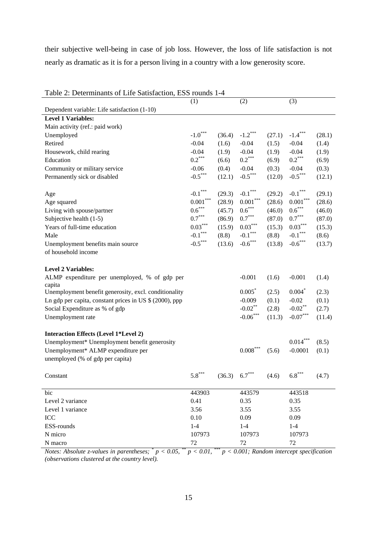their subjective well-being in case of job loss. However, the loss of life satisfaction is not nearly as dramatic as it is for a person living in a country with a low generosity score.

| Table 2: Determinants of Life Satisfaction, ESS rounds 1-4 |                                       |              |                                               |        |               |        |
|------------------------------------------------------------|---------------------------------------|--------------|-----------------------------------------------|--------|---------------|--------|
|                                                            | (1)                                   |              | (2)                                           |        | (3)           |        |
| Dependent variable: Life satisfaction (1-10)               |                                       |              |                                               |        |               |        |
| <b>Level 1 Variables:</b>                                  |                                       |              |                                               |        |               |        |
| Main activity (ref.: paid work)                            |                                       |              |                                               |        |               |        |
| Unemployed                                                 | $\text{-}1.0^{***}$                   | (36.4)       | $-1.2***$                                     | (27.1) | $-1.4***$     | (28.1) |
| Retired                                                    | $-0.04$                               | (1.6)        | $-0.04$                                       | (1.5)  | $-0.04$       | (1.4)  |
| Housework, child rearing                                   | $-0.04$                               | (1.9)        | $-0.04$                                       | (1.9)  | $-0.04$       | (1.9)  |
| Education                                                  | $0.2***$                              | (6.6)        | $0.2***$                                      | (6.9)  | $0.2***$      | (6.9)  |
| Community or military service                              | $-0.06$                               | (0.4)        | $-0.04$                                       | (0.3)  | $-0.04$       | (0.3)  |
| Permanently sick or disabled                               | $\textbf{-0.5}^{\ast\ast\ast}$        | (12.1)       | $\textbf{-0.5}^{\ast\ast\ast}$                | (12.0) | $-0.5***$     | (12.1) |
| Age                                                        | $\text{-}0.1$ $\hspace{-1.5mm}^{***}$ | (29.3)       | $\text{-}0.1$ $\hspace{0.1cm}^{\ast\ast\ast}$ | (29.2) | $-0.1***$     | (29.1) |
| Age squared                                                | $0.001^{\ast\ast\ast}$                | (28.9)       | 0.001                                         | (28.6) | $0.001^{***}$ | (28.6) |
| Living with spouse/partner                                 | $0.6^{***}$                           | (45.7)       | $0.6^{***}$                                   | (46.0) | $0.6^{***}$   | (46.0) |
| Subjective health (1-5)                                    | $0.7***$                              | (86.9)       | $0.7***$                                      | (87.0) | $0.7^{***}\,$ | (87.0) |
| Years of full-time education                               | $0.03***$                             | (15.9)       | $0.03\overset{***}{ }$                        | (15.3) | $0.03***$     | (15.3) |
| Male                                                       | $\text{-}0.1$ $^{***}$                | (8.8)        | $\text{-}0.1$ $\hspace{-1.5mm}^{***}$         | (8.8)  | $-0.1***$     | (8.6)  |
| Unemployment benefits main source                          | $-0.5***$                             | (13.6)       | $-0.6***$                                     | (13.8) | $-0.6***$     | (13.7) |
| of household income                                        |                                       |              |                                               |        |               |        |
| <b>Level 2 Variables:</b>                                  |                                       |              |                                               |        |               |        |
| ALMP expenditure per unemployed, % of gdp per              |                                       |              | $-0.001$                                      | (1.6)  | $-0.001$      | (1.4)  |
| capita                                                     |                                       |              |                                               |        |               |        |
| Unemployment benefit generosity, excl. conditionality      |                                       |              | $0.005*$                                      | (2.5)  | $0.004*$      | (2.3)  |
| Ln gdp per capita, constant prices in US \$ (2000), ppp    |                                       |              | $-0.009$                                      | (0.1)  | $-0.02$       | (0.1)  |
| Social Expenditure as % of gdp                             |                                       |              | $-0.02$ **                                    | (2.8)  | $-0.02$ **    | (2.7)  |
| Unemployment rate                                          |                                       |              | $\textbf{-0.06}^{\ast\ast\ast}$               | (11.3) | $-0.07***$    | (11.4) |
| <b>Interaction Effects (Level 1*Level 2)</b>               |                                       |              |                                               |        |               |        |
| Unemployment* Unemployment benefit generosity              |                                       |              |                                               |        | $0.014***$    | (8.5)  |
| Unemployment* ALMP expenditure per                         |                                       |              | $0.008\sp{*}{^\ast\sp{*}}$                    | (5.6)  | $-0.0001$     | (0.1)  |
| unemployed (% of gdp per capita)                           |                                       |              |                                               |        |               |        |
|                                                            | ***                                   |              | ***                                           |        |               |        |
| Constant                                                   | 5.8                                   | $(36.3)$ 6.7 |                                               | (4.6)  | 6.8           | (4.7)  |
| bic                                                        | 443903                                |              | 443579                                        |        | 443518        |        |
| Level 2 variance                                           | 0.41                                  |              | 0.35                                          |        | 0.35          |        |
| Level 1 variance                                           | 3.56                                  |              | 3.55                                          |        | 3.55          |        |
| ICC                                                        | 0.10                                  |              | 0.09                                          |        | 0.09          |        |
| ESS-rounds                                                 | $1-4$                                 |              | $1-4$                                         |        | $1 - 4$       |        |
| N micro                                                    | 107973                                |              | 107973                                        |        | 107973        |        |
| N macro                                                    | 72                                    |              | 72                                            |        | $72\,$        |        |

*Notes: Absolute z-values in parentheses;*  $^{*}p < 0.05$ ,  $^{**}p < 0.01$ ,  $^{***}p < 0.001$ ; Random intercept specification *(observations clustered at the country level).*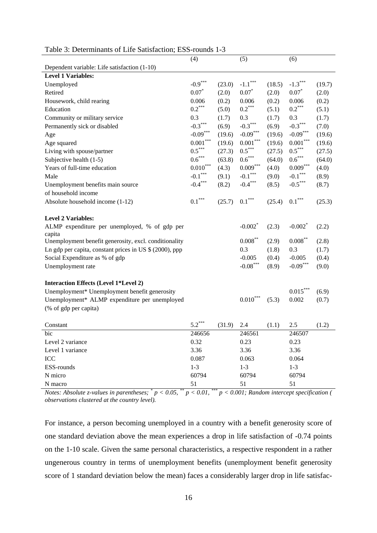| radio 9. Determinants of Enc Bausfaction, ESS Tounds T  |                                               |        |                                               |        |                        |        |
|---------------------------------------------------------|-----------------------------------------------|--------|-----------------------------------------------|--------|------------------------|--------|
|                                                         | (4)                                           |        | (5)                                           |        | (6)                    |        |
| Dependent variable: Life satisfaction (1-10)            |                                               |        |                                               |        |                        |        |
| <b>Level 1 Variables:</b>                               |                                               |        |                                               |        |                        |        |
| Unemployed                                              | $-0.9***$                                     | (23.0) | $-1.1***$                                     | (18.5) | $-1.3$ <sup>*</sup>    | (19.7) |
| Retired                                                 | $0.07*$                                       | (2.0)  | $0.07*$                                       | (2.0)  | $0.07*$                | (2.0)  |
| Housework, child rearing                                | 0.006                                         | (0.2)  | 0.006                                         | (0.2)  | 0.006                  | (0.2)  |
| Education                                               | $0.2***$                                      | (5.0)  | $0.2^{***}$                                   | (5.1)  | $0.2***$               | (5.1)  |
| Community or military service                           | 0.3                                           | (1.7)  | 0.3                                           | (1.7)  | 0.3                    | (1.7)  |
| Permanently sick or disabled                            | $-0.3***$                                     | (6.9)  | $-0.3***$                                     | (6.9)  | $-0.3***$              | (7.0)  |
| Age                                                     | $-0.09***$                                    | (19.6) | $-0.09***$                                    | (19.6) | $-0.09***$             | (19.6) |
| Age squared                                             | $0.001***$                                    | (19.6) | $0.001***$                                    | (19.6) | $0.001***$             | (19.6) |
| Living with spouse/partner                              | $0.5***$                                      | (27.3) | $0.5***$                                      | (27.5) | $0.5***$               | (27.5) |
| Subjective health (1-5)                                 | $0.6***$                                      | (63.8) | $0.6***$                                      | (64.0) | $0.6***$               | (64.0) |
| Years of full-time education                            | $0.010^\mathrm{***}$                          | (4.3)  | $0.009^{***}$                                 | (4.0)  | $0.009***$             | (4.0)  |
| Male                                                    | $\text{-}0.1$ $\hspace{0.1cm}^{\ast\ast\ast}$ | (9.1)  | $\text{-}0.1$ $\hspace{0.1cm}^{\ast\ast\ast}$ | (9.0)  | $\text{-}0.1$ $^{***}$ | (8.9)  |
| Unemployment benefits main source                       | $-0.4***$                                     | (8.2)  | $-0.4***$                                     | (8.5)  | $-0.5***$              | (8.7)  |
| of household income                                     |                                               |        |                                               |        |                        |        |
| Absolute household income (1-12)                        | $0.1***$                                      | (25.7) | $0.1^{***}$                                   | (25.4) | $0.1^{***}$            | (25.3) |
|                                                         |                                               |        |                                               |        |                        |        |
| <b>Level 2 Variables:</b>                               |                                               |        |                                               |        |                        |        |
| ALMP expenditure per unemployed, % of gdp per           |                                               |        | $-0.002$ <sup>*</sup>                         | (2.3)  | $-0.002$ <sup>*</sup>  | (2.2)  |
| capita                                                  |                                               |        |                                               |        |                        |        |
| Unemployment benefit generosity, excl. conditionality   |                                               |        | $0.008\overset{**}{ }$                        | (2.9)  | $0.008***$             | (2.8)  |
| Ln gdp per capita, constant prices in US \$ (2000), ppp |                                               |        | 0.3                                           | (1.8)  | 0.3                    | (1.7)  |
| Social Expenditure as % of gdp                          |                                               |        | $-0.005$                                      | (0.4)  | $-0.005$               | (0.4)  |
| Unemployment rate                                       |                                               |        | $\textbf{-0.08}^{\ast\ast\ast}$               | (8.9)  | $-0.09***$             | (9.0)  |
|                                                         |                                               |        |                                               |        |                        |        |
| <b>Interaction Effects (Level 1*Level 2)</b>            |                                               |        |                                               |        |                        |        |
| Unemployment* Unemployment benefit generosity           |                                               |        |                                               |        | $0.015***$             | (6.9)  |
| Unemployment* ALMP expenditure per unemployed           |                                               |        | $0.010^\mathrm{***}$                          | (5.3)  | 0.002                  | (0.7)  |
| (% of gdp per capita)                                   |                                               |        |                                               |        |                        |        |
|                                                         |                                               |        |                                               |        |                        |        |
| Constant                                                | 5.2                                           | (31.9) | 2.4                                           | (1.1)  | 2.5                    | (1.2)  |
| bic                                                     | 246656                                        |        | 246561                                        |        | 246507                 |        |
| Level 2 variance                                        | 0.32                                          |        | 0.23                                          |        | 0.23                   |        |
| Level 1 variance                                        | 3.36                                          |        | 3.36                                          |        | 3.36                   |        |
| ICC                                                     | 0.087                                         |        | 0.063                                         |        | 0.064                  |        |
| ESS-rounds                                              | $1 - 3$                                       |        | $1 - 3$                                       |        | $1 - 3$                |        |
| N micro                                                 | 60794                                         |        | 60794                                         |        | 60794                  |        |
| N macro                                                 | 51                                            |        | 51                                            |        | 51                     |        |

## Table 3: Determinants of Life Satisfaction; ESS-rounds 1-3

*Notes: Absolute z-values in parentheses;*  $^{*}p < 0.05$ ,  $^{**}p < 0.01$ ,  $^{***}p < 0.001$ ; Random intercept specification ( *observations clustered at the country level).* 

For instance, a person becoming unemployed in a country with a benefit generosity score of one standard deviation above the mean experiences a drop in life satisfaction of -0.74 points on the 1-10 scale. Given the same personal characteristics, a respective respondent in a rather ungenerous country in terms of unemployment benefits (unemployment benefit generosity score of 1 standard deviation below the mean) faces a considerably larger drop in life satisfac-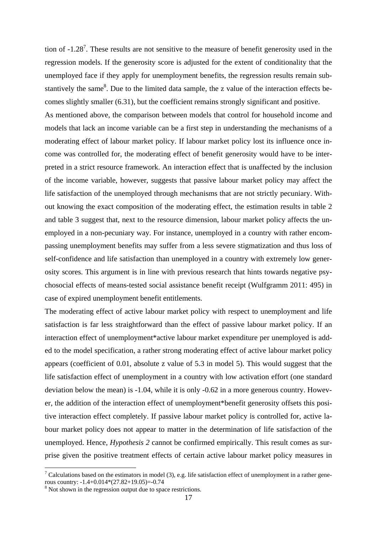tion of  $-1.28<sup>7</sup>$ . These results are not sensitive to the measure of benefit generosity used in the regression models. If the generosity score is adjusted for the extent of conditionality that the unemployed face if they apply for unemployment benefits, the regression results remain substantively the same<sup>8</sup>. Due to the limited data sample, the z value of the interaction effects becomes slightly smaller (6.31), but the coefficient remains strongly significant and positive. As mentioned above, the comparison between models that control for household income and models that lack an income variable can be a first step in understanding the mechanisms of a moderating effect of labour market policy. If labour market policy lost its influence once income was controlled for, the moderating effect of benefit generosity would have to be interpreted in a strict resource framework. An interaction effect that is unaffected by the inclusion of the income variable, however, suggests that passive labour market policy may affect the life satisfaction of the unemployed through mechanisms that are not strictly pecuniary. Without knowing the exact composition of the moderating effect, the estimation results in table 2 and table 3 suggest that, next to the resource dimension, labour market policy affects the unemployed in a non-pecuniary way. For instance, unemployed in a country with rather encompassing unemployment benefits may suffer from a less severe stigmatization and thus loss of self-confidence and life satisfaction than unemployed in a country with extremely low generosity scores. This argument is in line with previous research that hints towards negative psychosocial effects of means-tested social assistance benefit receipt (Wulfgramm 2011: 495) in case of expired unemployment benefit entitlements.

The moderating effect of active labour market policy with respect to unemployment and life satisfaction is far less straightforward than the effect of passive labour market policy. If an interaction effect of unemployment\*active labour market expenditure per unemployed is added to the model specification, a rather strong moderating effect of active labour market policy appears (coefficient of 0.01, absolute z value of 5.3 in model 5). This would suggest that the life satisfaction effect of unemployment in a country with low activation effort (one standard deviation below the mean) is -1.04, while it is only -0.62 in a more generous country. However, the addition of the interaction effect of unemployment\*benefit generosity offsets this positive interaction effect completely. If passive labour market policy is controlled for, active labour market policy does not appear to matter in the determination of life satisfaction of the unemployed. Hence, *Hypothesis 2* cannot be confirmed empirically. This result comes as surprise given the positive treatment effects of certain active labour market policy measures in

1

<sup>&</sup>lt;sup>7</sup> Calculations based on the estimators in model (3), e.g. life satisfaction effect of unemployment in a rather generous country: -1.4+0.014\*(27.82+19.05)=-0.74

<sup>&</sup>lt;sup>8</sup> Not shown in the regression output due to space restrictions.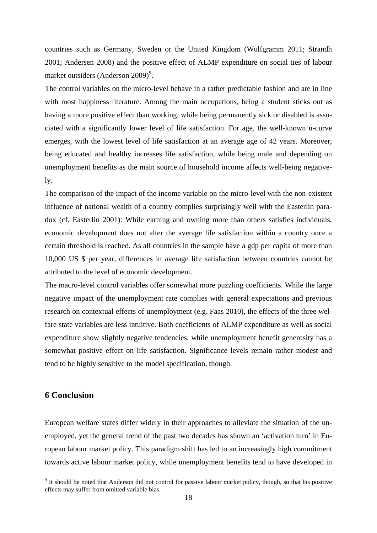countries such as Germany, Sweden or the United Kingdom (Wulfgramm 2011; Strandh 2001; Andersen 2008) and the positive effect of ALMP expenditure on social ties of labour market outsiders (Anderson  $2009$ <sup>9</sup>.

The control variables on the micro-level behave in a rather predictable fashion and are in line with most happiness literature. Among the main occupations, being a student sticks out as having a more positive effect than working, while being permanently sick or disabled is associated with a significantly lower level of life satisfaction. For age, the well-known u-curve emerges, with the lowest level of life satisfaction at an average age of 42 years. Moreover, being educated and healthy increases life satisfaction, while being male and depending on unemployment benefits as the main source of household income affects well-being negatively.

The comparison of the impact of the income variable on the micro-level with the non-existent influence of national wealth of a country complies surprisingly well with the Easterlin paradox (cf. Easterlin 2001): While earning and owning more than others satisfies individuals, economic development does not alter the average life satisfaction within a country once a certain threshold is reached. As all countries in the sample have a gdp per capita of more than 10,000 US \$ per year, differences in average life satisfaction between countries cannot be attributed to the level of economic development.

The macro-level control variables offer somewhat more puzzling coefficients. While the large negative impact of the unemployment rate complies with general expectations and previous research on contextual effects of unemployment (e.g. Faas 2010), the effects of the three welfare state variables are less intuitive. Both coefficients of ALMP expenditure as well as social expenditure show slightly negative tendencies, while unemployment benefit generosity has a somewhat positive effect on life satisfaction. Significance levels remain rather modest and tend to be highly sensitive to the model specification, though.

## **6 Conclusion**

<u>.</u>

European welfare states differ widely in their approaches to alleviate the situation of the unemployed, yet the general trend of the past two decades has shown an 'activation turn' in European labour market policy. This paradigm shift has led to an increasingly high commitment towards active labour market policy, while unemployment benefits tend to have developed in

<sup>&</sup>lt;sup>9</sup> It should be noted that Anderson did not control for passive labour market policy, though, so that his positive effects may suffer from omitted variable bias.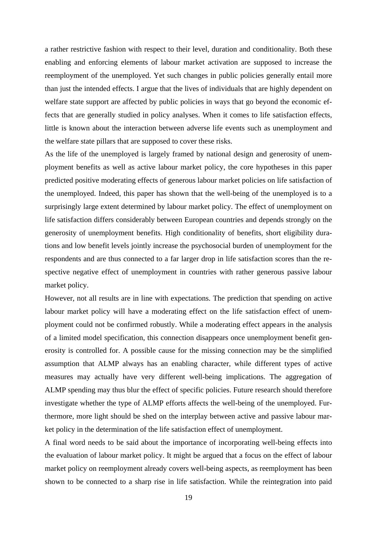a rather restrictive fashion with respect to their level, duration and conditionality. Both these enabling and enforcing elements of labour market activation are supposed to increase the reemployment of the unemployed. Yet such changes in public policies generally entail more than just the intended effects. I argue that the lives of individuals that are highly dependent on welfare state support are affected by public policies in ways that go beyond the economic effects that are generally studied in policy analyses. When it comes to life satisfaction effects, little is known about the interaction between adverse life events such as unemployment and the welfare state pillars that are supposed to cover these risks.

As the life of the unemployed is largely framed by national design and generosity of unemployment benefits as well as active labour market policy, the core hypotheses in this paper predicted positive moderating effects of generous labour market policies on life satisfaction of the unemployed. Indeed, this paper has shown that the well-being of the unemployed is to a surprisingly large extent determined by labour market policy. The effect of unemployment on life satisfaction differs considerably between European countries and depends strongly on the generosity of unemployment benefits. High conditionality of benefits, short eligibility durations and low benefit levels jointly increase the psychosocial burden of unemployment for the respondents and are thus connected to a far larger drop in life satisfaction scores than the respective negative effect of unemployment in countries with rather generous passive labour market policy.

However, not all results are in line with expectations. The prediction that spending on active labour market policy will have a moderating effect on the life satisfaction effect of unemployment could not be confirmed robustly. While a moderating effect appears in the analysis of a limited model specification, this connection disappears once unemployment benefit generosity is controlled for. A possible cause for the missing connection may be the simplified assumption that ALMP always has an enabling character, while different types of active measures may actually have very different well-being implications. The aggregation of ALMP spending may thus blur the effect of specific policies. Future research should therefore investigate whether the type of ALMP efforts affects the well-being of the unemployed. Furthermore, more light should be shed on the interplay between active and passive labour market policy in the determination of the life satisfaction effect of unemployment.

A final word needs to be said about the importance of incorporating well-being effects into the evaluation of labour market policy. It might be argued that a focus on the effect of labour market policy on reemployment already covers well-being aspects, as reemployment has been shown to be connected to a sharp rise in life satisfaction. While the reintegration into paid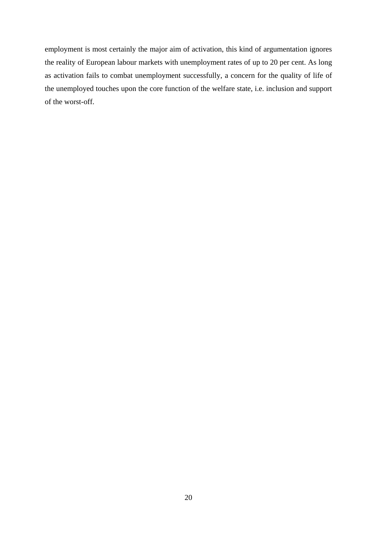employment is most certainly the major aim of activation, this kind of argumentation ignores the reality of European labour markets with unemployment rates of up to 20 per cent. As long as activation fails to combat unemployment successfully, a concern for the quality of life of the unemployed touches upon the core function of the welfare state, i.e. inclusion and support of the worst-off.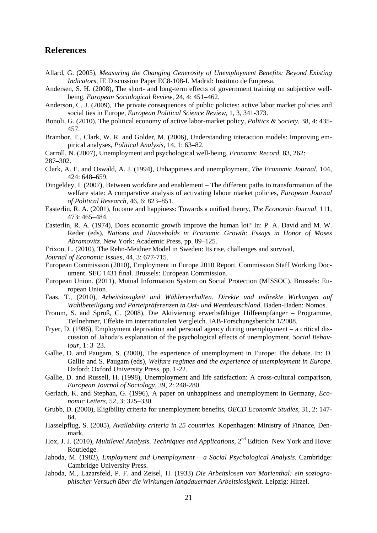## **References**

- Allard, G. (2005), *Measuring the Changing Generosity of Unemployment Benefits: Beyond Existing Indicators*, IE Discussion Paper EC8-108-I. Madrid: Instituto de Empresa.
- Andersen, S. H. (2008), The short- and long-term effects of government training on subjective wellbeing, *European Sociological Review*, 24, 4: 451–462.
- Anderson, C. J. (2009), The private consequences of public policies: active labor market policies and social ties in Europe, *European Political Science Review*, 1, 3, 341-373.
- Bonoli, G. (2010), The political economy of active labor-market policy, *Politics & Society*, 38, 4: 435- 457.
- Brambor, T., Clark, W. R. and Golder, M. (2006), Understanding interaction models: Improving empirical analyses, *Political Analysis*, 14, 1: 63–82.
- Carroll, N. (2007), Unemployment and psychological well-being, *Economic Record*, 83, 262: 287–302.
- Clark, A. E. and Oswald, A. J. (1994), Unhappiness and unemployment, *The Economic Journal*, 104, 424: 648–659.
- Dingeldey, I. (2007), Between workfare and enablement The different paths to transformation of the welfare state: A comparative analysis of activating labour market policies, *European Journal of Political Research*, 46, 6: 823–851.
- Easterlin, R. A. (2001), Income and happiness: Towards a unified theory, *The Economic Journal*, 111, 473: 465–484.
- Easterlin, R. A. (1974), Does economic growth improve the human lot? In: P. A. David and M. W. Reder (eds), *Nations and Households in Economic Growth: Essays in Honor of Moses Abramovitz*. New York: Academic Press, pp. 89–125.
- Erixon, L. (2010), The Rehn-Meidner Model in Sweden: Its rise, challenges and survival,
- *Journal of Economic Issues*, 44, 3: 677-715.
- European Commission (2010), Employment in Europe 2010 Report. Commission Staff Working Document. SEC 1431 final. Brussels: European Commission.
- European Union. (2011), Mutual Information System on Social Protection (MISSOC). Brussels: European Union.
- Faas, T., (2010), *Arbeitslosigkeit und Wählerverhalten. Direkte und indirekte Wirkungen auf Wahlbeteiligung und Parteipräferenzen in Ost- und Westdeutschland*. Baden-Baden: Nomos.
- Fromm, S. and Sproß, C. (2008), Die Aktivierung erwerbsfähiger Hilfeempfänger Programme, Teilnehmer, Effekte im internationalen Vergleich. IAB-Forschungsbericht 1/2008.
- Fryer, D. (1986), Employment deprivation and personal agency during unemployment a critical discussion of Jahoda's explanation of the psychological effects of unemployment, *Social Behaviour*, 1: 3–23.
- Gallie, D. and Paugam, S. (2000), The experience of unemployment in Europe: The debate. In: D. Gallie and S. Paugam (eds), *Welfare regimes and the experience of unemployment in Europe*. Oxford: Oxford University Press, pp. 1-22.
- Gallie, D. and Russell, H. (1998), Unemployment and life satisfaction: A cross-cultural comparison, *European Journal of Sociology*, 39, 2: 248-280.
- Gerlach, K. and Stephan, G. (1996), A paper on unhappiness and unemployment in Germany, *Economic Letters*, 52, 3: 325–330.
- Grubb, D. (2000), Eligibility criteria for unemployment benefits, *OECD Economic Studies,* 31, 2: 147- 84.
- Hasselpflug, S. (2005), *Availability criteria in 25 countries*. Kopenhagen: Ministry of Finance, Denmark.
- Hox, J. J. (2010), *Multilevel Analysis. Techniques and Applications*, 2<sup>nd</sup> Edition. New York and Hove: Routledge.
- Jahoda, M. (1982), *Employment and Unemployment a Social Psychological Analysis*. Cambridge: Cambridge University Press.
- Jahoda, M., Lazarsfeld, P. F. and Zeisel, H. (1933) *Die Arbeitslosen von Marienthal: ein soziographischer Versuch über die Wirkungen langdauernder Arbeitslosigkeit.* Leipzig: Hirzel.